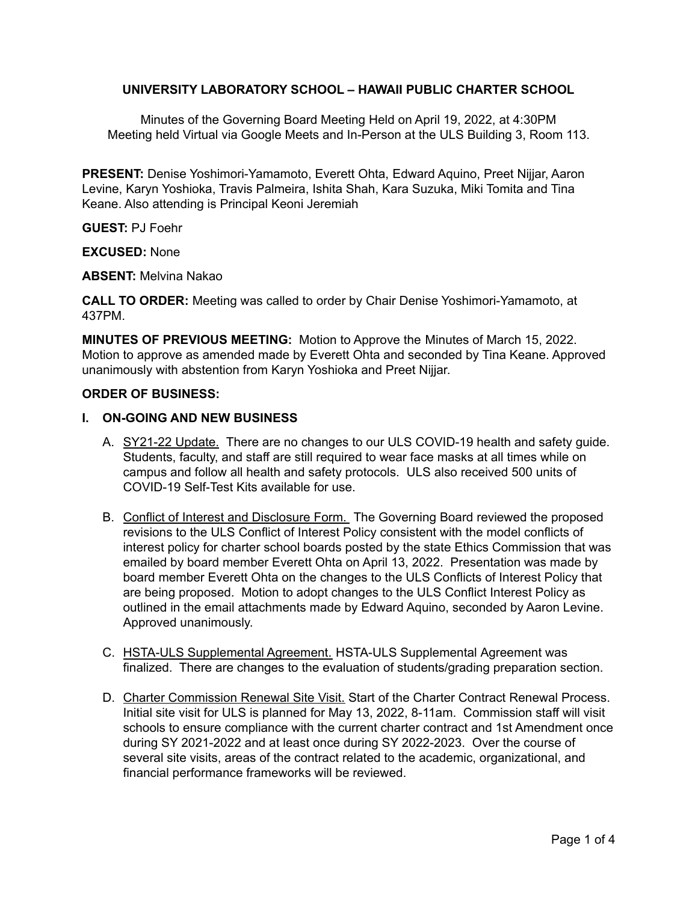## **UNIVERSITY LABORATORY SCHOOL – HAWAII PUBLIC CHARTER SCHOOL**

Minutes of the Governing Board Meeting Held on April 19, 2022, at 4:30PM Meeting held Virtual via Google Meets and In-Person at the ULS Building 3, Room 113.

**PRESENT:** Denise Yoshimori-Yamamoto, Everett Ohta, Edward Aquino, Preet Nijjar, Aaron Levine, Karyn Yoshioka, Travis Palmeira, Ishita Shah, Kara Suzuka, Miki Tomita and Tina Keane. Also attending is Principal Keoni Jeremiah

**GUEST:** PJ Foehr

**EXCUSED:** None

**ABSENT:** Melvina Nakao

**CALL TO ORDER:** Meeting was called to order by Chair Denise Yoshimori-Yamamoto, at 437PM.

**MINUTES OF PREVIOUS MEETING:** Motion to Approve the Minutes of March 15, 2022. Motion to approve as amended made by Everett Ohta and seconded by Tina Keane. Approved unanimously with abstention from Karyn Yoshioka and Preet Nijjar.

#### **ORDER OF BUSINESS:**

#### **I. ON-GOING AND NEW BUSINESS**

- A. SY21-22 Update. There are no changes to our ULS COVID-19 health and safety guide. Students, faculty, and staff are still required to wear face masks at all times while on campus and follow all health and safety protocols. ULS also received 500 units of COVID-19 Self-Test Kits available for use.
- B. Conflict of Interest and Disclosure Form. The Governing Board reviewed the proposed revisions to the ULS Conflict of Interest Policy consistent with the model conflicts of interest policy for charter school boards posted by the state Ethics Commission that was emailed by board member Everett Ohta on April 13, 2022. Presentation was made by board member Everett Ohta on the changes to the ULS Conflicts of Interest Policy that are being proposed. Motion to adopt changes to the ULS Conflict Interest Policy as outlined in the email attachments made by Edward Aquino, seconded by Aaron Levine. Approved unanimously.
- C. HSTA-ULS Supplemental Agreement. HSTA-ULS Supplemental Agreement was finalized. There are changes to the evaluation of students/grading preparation section.
- D. Charter Commission Renewal Site Visit. Start of the Charter Contract Renewal Process. Initial site visit for ULS is planned for May 13, 2022, 8-11am. Commission staff will visit schools to ensure compliance with the current charter contract and 1st Amendment once during SY 2021-2022 and at least once during SY 2022-2023. Over the course of several site visits, areas of the contract related to the academic, organizational, and financial performance frameworks will be reviewed.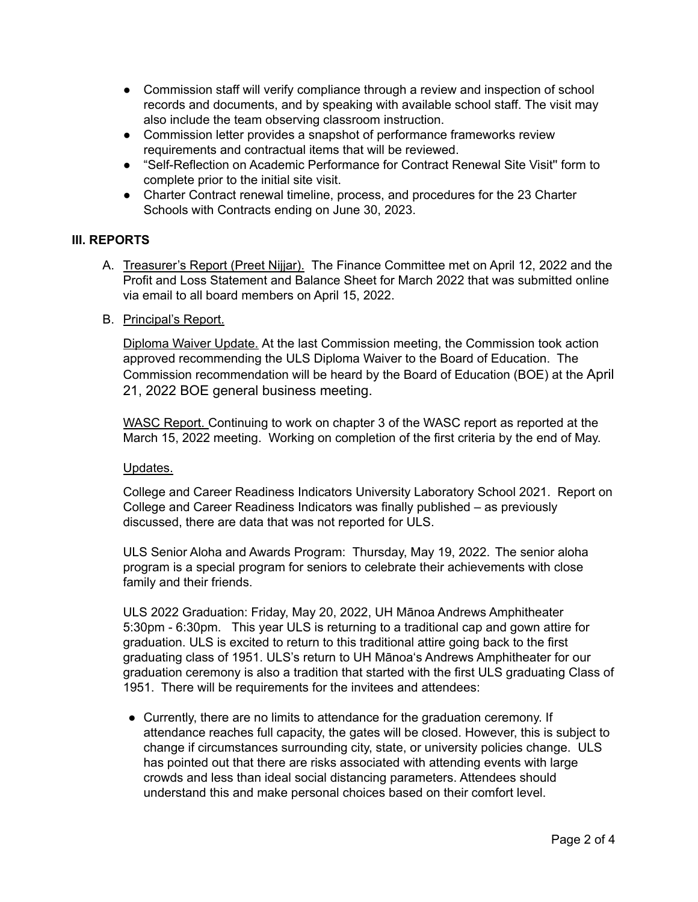- Commission staff will verify compliance through a review and inspection of school records and documents, and by speaking with available school staff. The visit may also include the team observing classroom instruction.
- Commission letter provides a snapshot of performance frameworks review requirements and contractual items that will be reviewed.
- "Self-Reflection on Academic Performance for Contract Renewal Site Visit'' form to complete prior to the initial site visit.
- Charter Contract renewal timeline, process, and procedures for the 23 Charter Schools with Contracts ending on June 30, 2023.

# **III. REPORTS**

- A. Treasurer's Report (Preet Nijjar). The Finance Committee met on April 12, 2022 and the Profit and Loss Statement and Balance Sheet for March 2022 that was submitted online via email to all board members on April 15, 2022.
- B. Principal's Report.

Diploma Waiver Update. At the last Commission meeting, the Commission took action approved recommending the ULS Diploma Waiver to the Board of Education. The Commission recommendation will be heard by the Board of Education (BOE) at the April 21, 2022 BOE general business meeting.

WASC Report. Continuing to work on chapter 3 of the WASC report as reported at the March 15, 2022 meeting. Working on completion of the first criteria by the end of May.

#### Updates.

College and Career Readiness Indicators University Laboratory School 2021. Report on College and Career Readiness Indicators was finally published – as previously discussed, there are data that was not reported for ULS.

ULS Senior Aloha and Awards Program: Thursday, May 19, 2022. The senior aloha program is a special program for seniors to celebrate their achievements with close family and their friends.

ULS 2022 Graduation: Friday, May 20, 2022, UH Mānoa Andrews Amphitheater 5:30pm - 6:30pm. This year ULS is returning to a traditional cap and gown attire for graduation. ULS is excited to return to this traditional attire going back to the first graduating class of 1951. ULS's return to UH Mānoaʻs Andrews Amphitheater for our graduation ceremony is also a tradition that started with the first ULS graduating Class of 1951. There will be requirements for the invitees and attendees:

● Currently, there are no limits to attendance for the graduation ceremony. If attendance reaches full capacity, the gates will be closed. However, this is subject to change if circumstances surrounding city, state, or university policies change. ULS has pointed out that there are risks associated with attending events with large crowds and less than ideal social distancing parameters. Attendees should understand this and make personal choices based on their comfort level.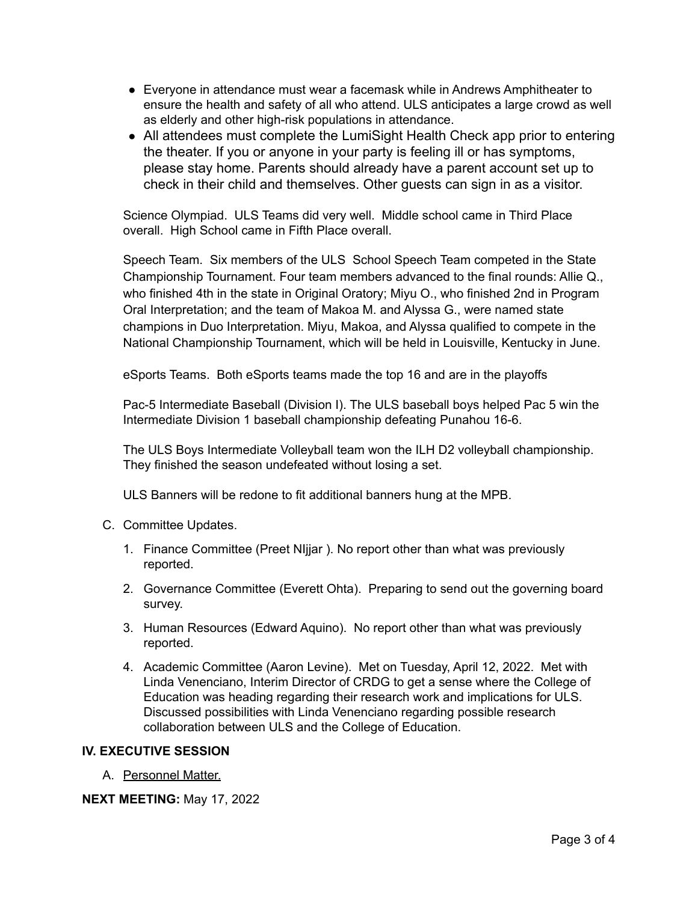- Everyone in attendance must wear a facemask while in Andrews Amphitheater to ensure the health and safety of all who attend. ULS anticipates a large crowd as well as elderly and other high-risk populations in attendance.
- All attendees must complete the LumiSight Health Check app prior to entering the theater. If you or anyone in your party is feeling ill or has symptoms, please stay home. Parents should already have a parent account set up to check in their child and themselves. Other guests can sign in as a visitor.

Science Olympiad. ULS Teams did very well. Middle school came in Third Place overall. High School came in Fifth Place overall.

Speech Team. Six members of the ULS School Speech Team competed in the State Championship Tournament. Four team members advanced to the final rounds: Allie Q., who finished 4th in the state in Original Oratory; Miyu O., who finished 2nd in Program Oral Interpretation; and the team of Makoa M. and Alyssa G., were named state champions in Duo Interpretation. Miyu, Makoa, and Alyssa qualified to compete in the National Championship Tournament, which will be held in Louisville, Kentucky in June.

eSports Teams. Both eSports teams made the top 16 and are in the playoffs

Pac-5 Intermediate Baseball (Division I). The ULS baseball boys helped Pac 5 win the Intermediate Division 1 baseball championship defeating Punahou 16-6.

The ULS Boys Intermediate Volleyball team won the ILH D2 volleyball championship. They finished the season undefeated without losing a set.

ULS Banners will be redone to fit additional banners hung at the MPB.

- C. Committee Updates.
	- 1. Finance Committee (Preet NIjjar ). No report other than what was previously reported.
	- 2. Governance Committee (Everett Ohta). Preparing to send out the governing board survey.
	- 3. Human Resources (Edward Aquino). No report other than what was previously reported.
	- 4. Academic Committee (Aaron Levine). Met on Tuesday, April 12, 2022. Met with Linda Venenciano, Interim Director of CRDG to get a sense where the College of Education was heading regarding their research work and implications for ULS. Discussed possibilities with Linda Venenciano regarding possible research collaboration between ULS and the College of Education.

## **IV. EXECUTIVE SESSION**

A. Personnel Matter.

**NEXT MEETING:** May 17, 2022